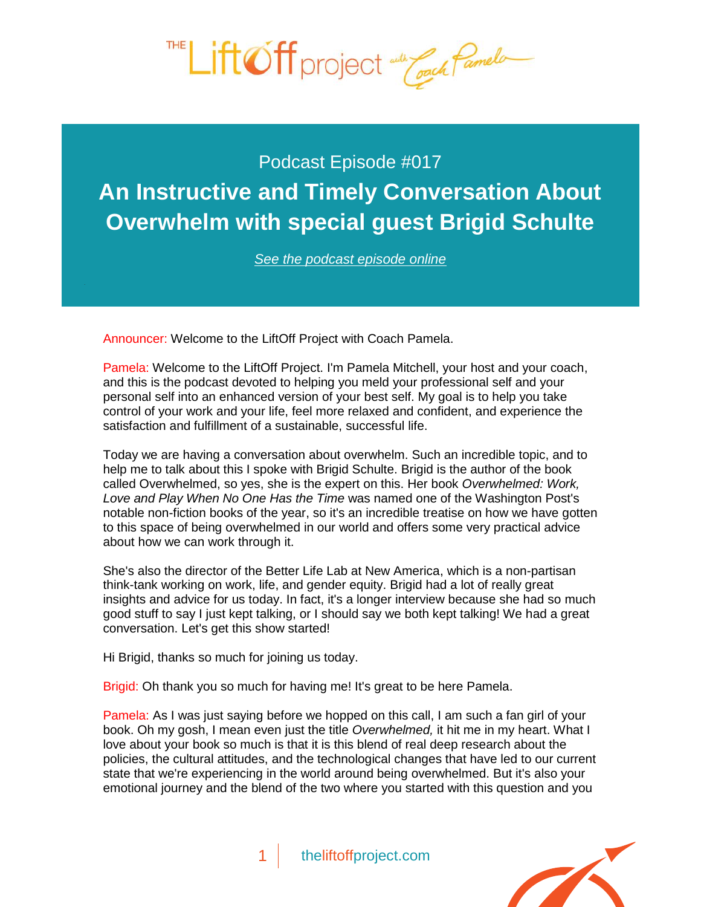

Podcast Episode #017 **[An Instructive and Timely Conversation About](http://theliftoffproject.com/An-Instructive-and-Timely-Conversation-About-Overwhelm-with-special-guest-Brigid-Schulte)  Overwhelm with special guest Brigid Schulte**

*See the podcast episode online*

Announcer: Welcome to the LiftOff Project with Coach Pamela.

Pamela: Welcome to the LiftOff Project. I'm Pamela Mitchell, your host and your coach, and this is the podcast devoted to helping you meld your professional self and your personal self into an enhanced version of your best self. My goal is to help you take control of your work and your life, feel more relaxed and confident, and experience the satisfaction and fulfillment of a sustainable, successful life.

Today we are having a conversation about overwhelm. Such an incredible topic, and to help me to talk about this I spoke with Brigid Schulte. Brigid is the author of the book called Overwhelmed, so yes, she is the expert on this. Her book *Overwhelmed: Work, Love and Play When No One Has the Time* was named one of the Washington Post's notable non-fiction books of the year, so it's an incredible treatise on how we have gotten to this space of being overwhelmed in our world and offers some very practical advice about how we can work through it.

She's also the director of the Better Life Lab at New America, which is a non-partisan think-tank working on work, life, and gender equity. Brigid had a lot of really great insights and advice for us today. In fact, it's a longer interview because she had so much good stuff to say I just kept talking, or I should say we both kept talking! We had a great conversation. Let's get this show started!

Hi Brigid, thanks so much for joining us today.

Brigid: Oh thank you so much for having me! It's great to be here Pamela.

Pamela: As I was just saying before we hopped on this call, I am such a fan girl of your book. Oh my gosh, I mean even just the title *Overwhelmed,* it hit me in my heart. What I love about your book so much is that it is this blend of real deep research about the policies, the cultural attitudes, and the technological changes that have led to our current state that we're experiencing in the world around being overwhelmed. But it's also your emotional journey and the blend of the two where you started with this question and you

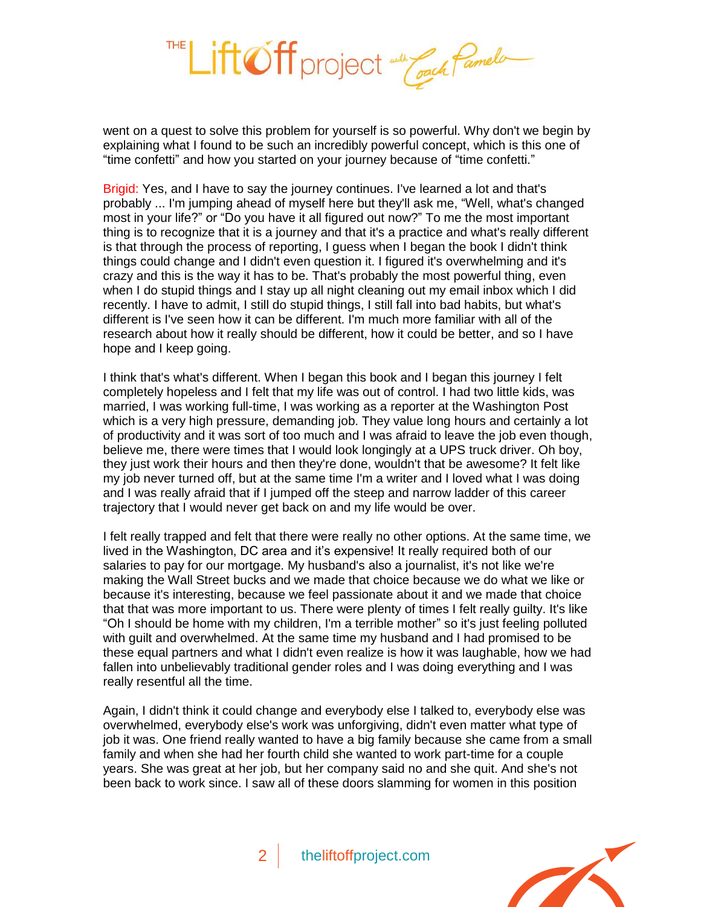

went on a quest to solve this problem for yourself is so powerful. Why don't we begin by explaining what I found to be such an incredibly powerful concept, which is this one of "time confetti" and how you started on your journey because of "time confetti."

Brigid: Yes, and I have to say the journey continues. I've learned a lot and that's probably ... I'm jumping ahead of myself here but they'll ask me, "Well, what's changed most in your life?" or "Do you have it all figured out now?" To me the most important thing is to recognize that it is a journey and that it's a practice and what's really different is that through the process of reporting, I guess when I began the book I didn't think things could change and I didn't even question it. I figured it's overwhelming and it's crazy and this is the way it has to be. That's probably the most powerful thing, even when I do stupid things and I stay up all night cleaning out my email inbox which I did recently. I have to admit, I still do stupid things, I still fall into bad habits, but what's different is I've seen how it can be different. I'm much more familiar with all of the research about how it really should be different, how it could be better, and so I have hope and I keep going.

I think that's what's different. When I began this book and I began this journey I felt completely hopeless and I felt that my life was out of control. I had two little kids, was married, I was working full-time, I was working as a reporter at the Washington Post which is a very high pressure, demanding job. They value long hours and certainly a lot of productivity and it was sort of too much and I was afraid to leave the job even though, believe me, there were times that I would look longingly at a UPS truck driver. Oh boy, they just work their hours and then they're done, wouldn't that be awesome? It felt like my job never turned off, but at the same time I'm a writer and I loved what I was doing and I was really afraid that if I jumped off the steep and narrow ladder of this career trajectory that I would never get back on and my life would be over.

I felt really trapped and felt that there were really no other options. At the same time, we lived in the Washington, DC area and it's expensive! It really required both of our salaries to pay for our mortgage. My husband's also a journalist, it's not like we're making the Wall Street bucks and we made that choice because we do what we like or because it's interesting, because we feel passionate about it and we made that choice that that was more important to us. There were plenty of times I felt really guilty. It's like "Oh I should be home with my children, I'm a terrible mother" so it's just feeling polluted with guilt and overwhelmed. At the same time my husband and I had promised to be these equal partners and what I didn't even realize is how it was laughable, how we had fallen into unbelievably traditional gender roles and I was doing everything and I was really resentful all the time.

Again, I didn't think it could change and everybody else I talked to, everybody else was overwhelmed, everybody else's work was unforgiving, didn't even matter what type of job it was. One friend really wanted to have a big family because she came from a small family and when she had her fourth child she wanted to work part-time for a couple years. She was great at her job, but her company said no and she quit. And she's not been back to work since. I saw all of these doors slamming for women in this position

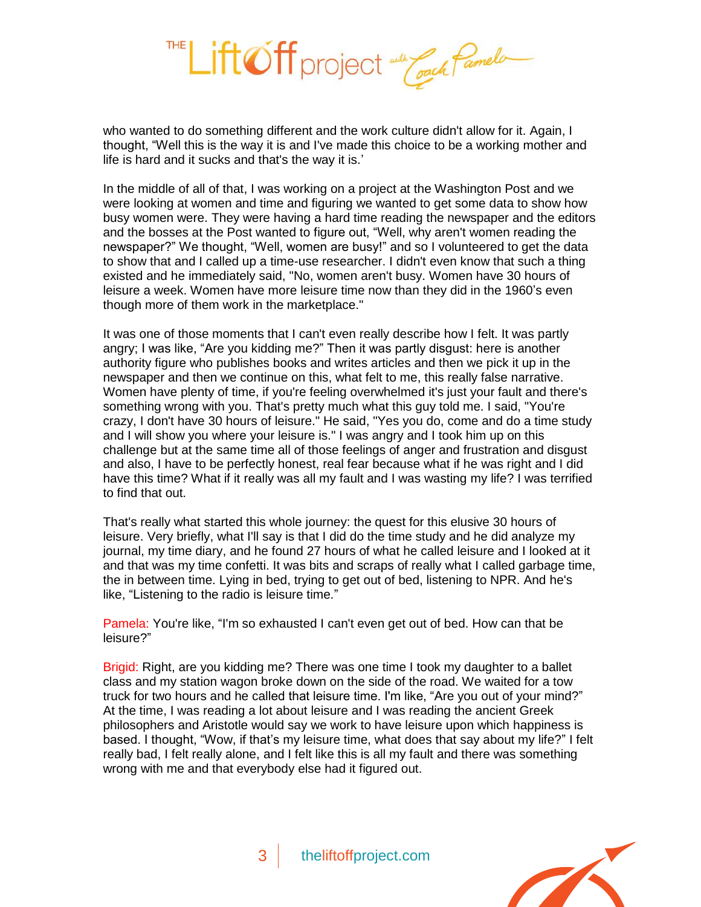

who wanted to do something different and the work culture didn't allow for it. Again, I thought, "Well this is the way it is and I've made this choice to be a working mother and life is hard and it sucks and that's the way it is.'

In the middle of all of that, I was working on a project at the Washington Post and we were looking at women and time and figuring we wanted to get some data to show how busy women were. They were having a hard time reading the newspaper and the editors and the bosses at the Post wanted to figure out, "Well, why aren't women reading the newspaper?" We thought, "Well, women are busy!" and so I volunteered to get the data to show that and I called up a time-use researcher. I didn't even know that such a thing existed and he immediately said, "No, women aren't busy. Women have 30 hours of leisure a week. Women have more leisure time now than they did in the 1960's even though more of them work in the marketplace."

It was one of those moments that I can't even really describe how I felt. It was partly angry; I was like, "Are you kidding me?" Then it was partly disgust: here is another authority figure who publishes books and writes articles and then we pick it up in the newspaper and then we continue on this, what felt to me, this really false narrative. Women have plenty of time, if you're feeling overwhelmed it's just your fault and there's something wrong with you. That's pretty much what this guy told me. I said, "You're crazy, I don't have 30 hours of leisure." He said, "Yes you do, come and do a time study and I will show you where your leisure is." I was angry and I took him up on this challenge but at the same time all of those feelings of anger and frustration and disgust and also, I have to be perfectly honest, real fear because what if he was right and I did have this time? What if it really was all my fault and I was wasting my life? I was terrified to find that out.

That's really what started this whole journey: the quest for this elusive 30 hours of leisure. Very briefly, what I'll say is that I did do the time study and he did analyze my journal, my time diary, and he found 27 hours of what he called leisure and I looked at it and that was my time confetti. It was bits and scraps of really what I called garbage time, the in between time. Lying in bed, trying to get out of bed, listening to NPR. And he's like, "Listening to the radio is leisure time."

Pamela: You're like, "I'm so exhausted I can't even get out of bed. How can that be leisure?"

Brigid: Right, are you kidding me? There was one time I took my daughter to a ballet class and my station wagon broke down on the side of the road. We waited for a tow truck for two hours and he called that leisure time. I'm like, "Are you out of your mind?" At the time, I was reading a lot about leisure and I was reading the ancient Greek philosophers and Aristotle would say we work to have leisure upon which happiness is based. I thought, "Wow, if that's my leisure time, what does that say about my life?" I felt really bad, I felt really alone, and I felt like this is all my fault and there was something wrong with me and that everybody else had it figured out.

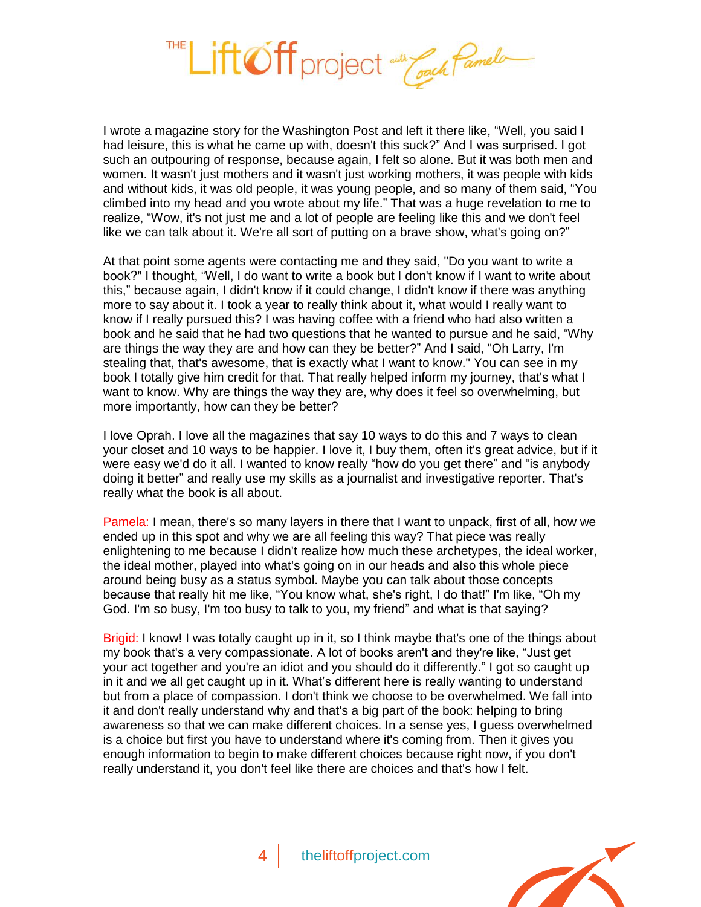

I wrote a magazine story for the Washington Post and left it there like, "Well, you said I had leisure, this is what he came up with, doesn't this suck?" And I was surprised. I got such an outpouring of response, because again, I felt so alone. But it was both men and women. It wasn't just mothers and it wasn't just working mothers, it was people with kids and without kids, it was old people, it was young people, and so many of them said, "You climbed into my head and you wrote about my life." That was a huge revelation to me to realize, "Wow, it's not just me and a lot of people are feeling like this and we don't feel like we can talk about it. We're all sort of putting on a brave show, what's going on?"

At that point some agents were contacting me and they said, "Do you want to write a book?" I thought, "Well, I do want to write a book but I don't know if I want to write about this," because again, I didn't know if it could change, I didn't know if there was anything more to say about it. I took a year to really think about it, what would I really want to know if I really pursued this? I was having coffee with a friend who had also written a book and he said that he had two questions that he wanted to pursue and he said, "Why are things the way they are and how can they be better?" And I said, "Oh Larry, I'm stealing that, that's awesome, that is exactly what I want to know." You can see in my book I totally give him credit for that. That really helped inform my journey, that's what I want to know. Why are things the way they are, why does it feel so overwhelming, but more importantly, how can they be better?

I love Oprah. I love all the magazines that say 10 ways to do this and 7 ways to clean your closet and 10 ways to be happier. I love it, I buy them, often it's great advice, but if it were easy we'd do it all. I wanted to know really "how do you get there" and "is anybody doing it better" and really use my skills as a journalist and investigative reporter. That's really what the book is all about.

Pamela: I mean, there's so many layers in there that I want to unpack, first of all, how we ended up in this spot and why we are all feeling this way? That piece was really enlightening to me because I didn't realize how much these archetypes, the ideal worker, the ideal mother, played into what's going on in our heads and also this whole piece around being busy as a status symbol. Maybe you can talk about those concepts because that really hit me like, "You know what, she's right, I do that!" I'm like, "Oh my God. I'm so busy, I'm too busy to talk to you, my friend" and what is that saying?

Brigid: I know! I was totally caught up in it, so I think maybe that's one of the things about my book that's a very compassionate. A lot of books aren't and they're like, "Just get your act together and you're an idiot and you should do it differently." I got so caught up in it and we all get caught up in it. What's different here is really wanting to understand but from a place of compassion. I don't think we choose to be overwhelmed. We fall into it and don't really understand why and that's a big part of the book: helping to bring awareness so that we can make different choices. In a sense yes, I guess overwhelmed is a choice but first you have to understand where it's coming from. Then it gives you enough information to begin to make different choices because right now, if you don't really understand it, you don't feel like there are choices and that's how I felt.

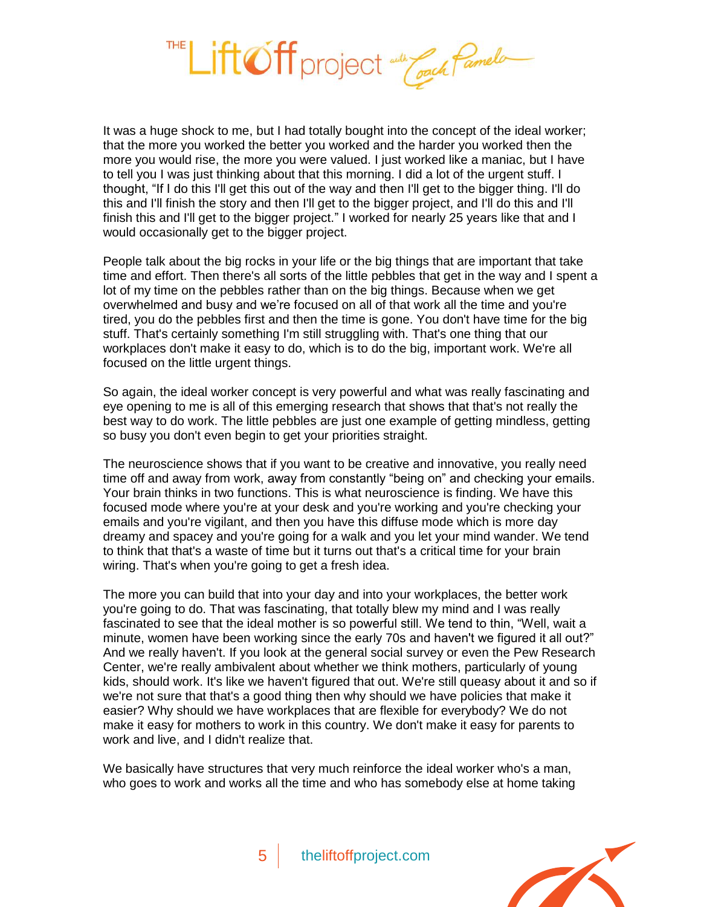

It was a huge shock to me, but I had totally bought into the concept of the ideal worker; that the more you worked the better you worked and the harder you worked then the more you would rise, the more you were valued. I just worked like a maniac, but I have to tell you I was just thinking about that this morning. I did a lot of the urgent stuff. I thought, "If I do this I'll get this out of the way and then I'll get to the bigger thing. I'll do this and I'll finish the story and then I'll get to the bigger project, and I'll do this and I'll finish this and I'll get to the bigger project." I worked for nearly 25 years like that and I would occasionally get to the bigger project.

People talk about the big rocks in your life or the big things that are important that take time and effort. Then there's all sorts of the little pebbles that get in the way and I spent a lot of my time on the pebbles rather than on the big things. Because when we get overwhelmed and busy and we're focused on all of that work all the time and you're tired, you do the pebbles first and then the time is gone. You don't have time for the big stuff. That's certainly something I'm still struggling with. That's one thing that our workplaces don't make it easy to do, which is to do the big, important work. We're all focused on the little urgent things.

So again, the ideal worker concept is very powerful and what was really fascinating and eye opening to me is all of this emerging research that shows that that's not really the best way to do work. The little pebbles are just one example of getting mindless, getting so busy you don't even begin to get your priorities straight.

The neuroscience shows that if you want to be creative and innovative, you really need time off and away from work, away from constantly "being on" and checking your emails. Your brain thinks in two functions. This is what neuroscience is finding. We have this focused mode where you're at your desk and you're working and you're checking your emails and you're vigilant, and then you have this diffuse mode which is more day dreamy and spacey and you're going for a walk and you let your mind wander. We tend to think that that's a waste of time but it turns out that's a critical time for your brain wiring. That's when you're going to get a fresh idea.

The more you can build that into your day and into your workplaces, the better work you're going to do. That was fascinating, that totally blew my mind and I was really fascinated to see that the ideal mother is so powerful still. We tend to thin, "Well, wait a minute, women have been working since the early 70s and haven't we figured it all out?" And we really haven't. If you look at the general social survey or even the Pew Research Center, we're really ambivalent about whether we think mothers, particularly of young kids, should work. It's like we haven't figured that out. We're still queasy about it and so if we're not sure that that's a good thing then why should we have policies that make it easier? Why should we have workplaces that are flexible for everybody? We do not make it easy for mothers to work in this country. We don't make it easy for parents to work and live, and I didn't realize that.

We basically have structures that very much reinforce the ideal worker who's a man, who goes to work and works all the time and who has somebody else at home taking

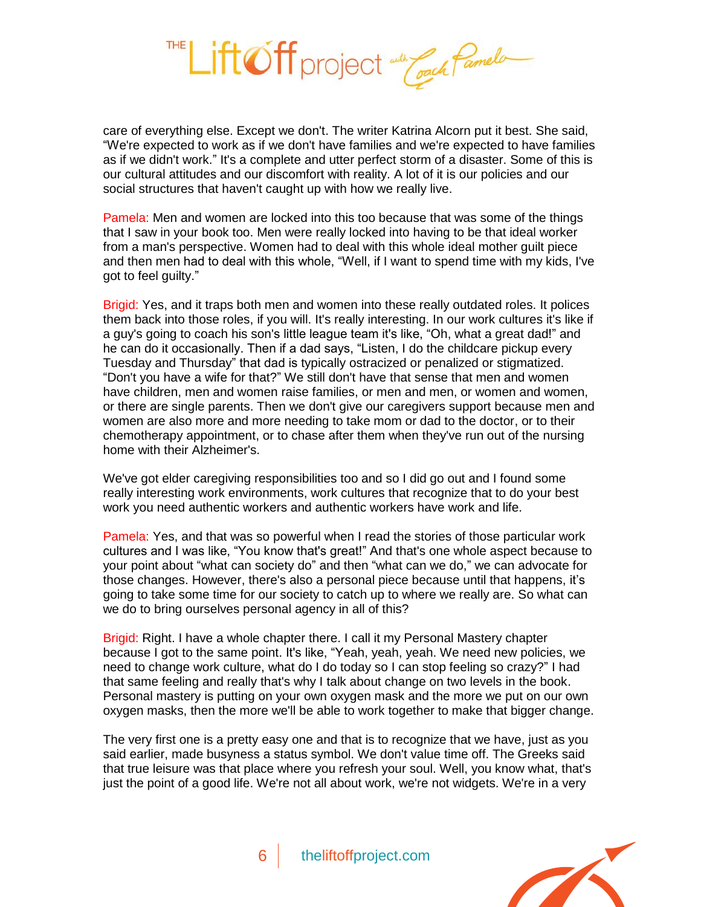

care of everything else. Except we don't. The writer Katrina Alcorn put it best. She said, "We're expected to work as if we don't have families and we're expected to have families as if we didn't work." It's a complete and utter perfect storm of a disaster. Some of this is our cultural attitudes and our discomfort with reality. A lot of it is our policies and our social structures that haven't caught up with how we really live.

Pamela: Men and women are locked into this too because that was some of the things that I saw in your book too. Men were really locked into having to be that ideal worker from a man's perspective. Women had to deal with this whole ideal mother guilt piece and then men had to deal with this whole, "Well, if I want to spend time with my kids, I've got to feel guilty."

Brigid: Yes, and it traps both men and women into these really outdated roles. It polices them back into those roles, if you will. It's really interesting. In our work cultures it's like if a guy's going to coach his son's little league team it's like, "Oh, what a great dad!" and he can do it occasionally. Then if a dad says, "Listen, I do the childcare pickup every Tuesday and Thursday" that dad is typically ostracized or penalized or stigmatized. "Don't you have a wife for that?" We still don't have that sense that men and women have children, men and women raise families, or men and men, or women and women, or there are single parents. Then we don't give our caregivers support because men and women are also more and more needing to take mom or dad to the doctor, or to their chemotherapy appointment, or to chase after them when they've run out of the nursing home with their Alzheimer's.

We've got elder caregiving responsibilities too and so I did go out and I found some really interesting work environments, work cultures that recognize that to do your best work you need authentic workers and authentic workers have work and life.

Pamela: Yes, and that was so powerful when I read the stories of those particular work cultures and I was like, "You know that's great!" And that's one whole aspect because to your point about "what can society do" and then "what can we do," we can advocate for those changes. However, there's also a personal piece because until that happens, it's going to take some time for our society to catch up to where we really are. So what can we do to bring ourselves personal agency in all of this?

Brigid: Right. I have a whole chapter there. I call it my Personal Mastery chapter because I got to the same point. It's like, "Yeah, yeah, yeah. We need new policies, we need to change work culture, what do I do today so I can stop feeling so crazy?" I had that same feeling and really that's why I talk about change on two levels in the book. Personal mastery is putting on your own oxygen mask and the more we put on our own oxygen masks, then the more we'll be able to work together to make that bigger change.

The very first one is a pretty easy one and that is to recognize that we have, just as you said earlier, made busyness a status symbol. We don't value time off. The Greeks said that true leisure was that place where you refresh your soul. Well, you know what, that's just the point of a good life. We're not all about work, we're not widgets. We're in a very

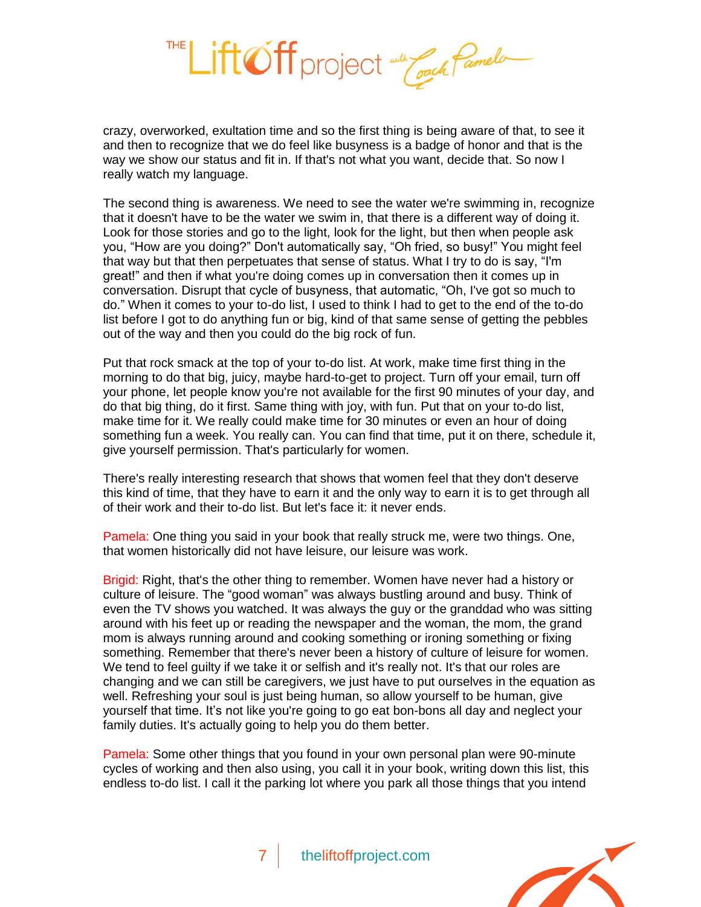

crazy, overworked, exultation time and so the first thing is being aware of that, to see it and then to recognize that we do feel like busyness is a badge of honor and that is the way we show our status and fit in. If that's not what you want, decide that. So now I really watch my language.

The second thing is awareness. We need to see the water we're swimming in, recognize that it doesn't have to be the water we swim in, that there is a different way of doing it. Look for those stories and go to the light, look for the light, but then when people ask you, "How are you doing?" Don't automatically say, "Oh fried, so busy!" You might feel that way but that then perpetuates that sense of status. What I try to do is say, "I'm great!" and then if what you're doing comes up in conversation then it comes up in conversation. Disrupt that cycle of busyness, that automatic, "Oh, I've got so much to do." When it comes to your to-do list, I used to think I had to get to the end of the to-do list before I got to do anything fun or big, kind of that same sense of getting the pebbles out of the way and then you could do the big rock of fun.

Put that rock smack at the top of your to-do list. At work, make time first thing in the morning to do that big, juicy, maybe hard-to-get to project. Turn off your email, turn off your phone, let people know you're not available for the first 90 minutes of your day, and do that big thing, do it first. Same thing with joy, with fun. Put that on your to-do list, make time for it. We really could make time for 30 minutes or even an hour of doing something fun a week. You really can. You can find that time, put it on there, schedule it, give yourself permission. That's particularly for women.

There's really interesting research that shows that women feel that they don't deserve this kind of time, that they have to earn it and the only way to earn it is to get through all of their work and their to-do list. But let's face it: it never ends.

Pamela: One thing you said in your book that really struck me, were two things. One, that women historically did not have leisure, our leisure was work.

Brigid: Right, that's the other thing to remember. Women have never had a history or culture of leisure. The "good woman" was always bustling around and busy. Think of even the TV shows you watched. It was always the guy or the granddad who was sitting around with his feet up or reading the newspaper and the woman, the mom, the grand mom is always running around and cooking something or ironing something or fixing something. Remember that there's never been a history of culture of leisure for women. We tend to feel guilty if we take it or selfish and it's really not. It's that our roles are changing and we can still be caregivers, we just have to put ourselves in the equation as well. Refreshing your soul is just being human, so allow yourself to be human, give yourself that time. It's not like you're going to go eat bon-bons all day and neglect your family duties. It's actually going to help you do them better.

Pamela: Some other things that you found in your own personal plan were 90-minute cycles of working and then also using, you call it in your book, writing down this list, this endless to-do list. I call it the parking lot where you park all those things that you intend

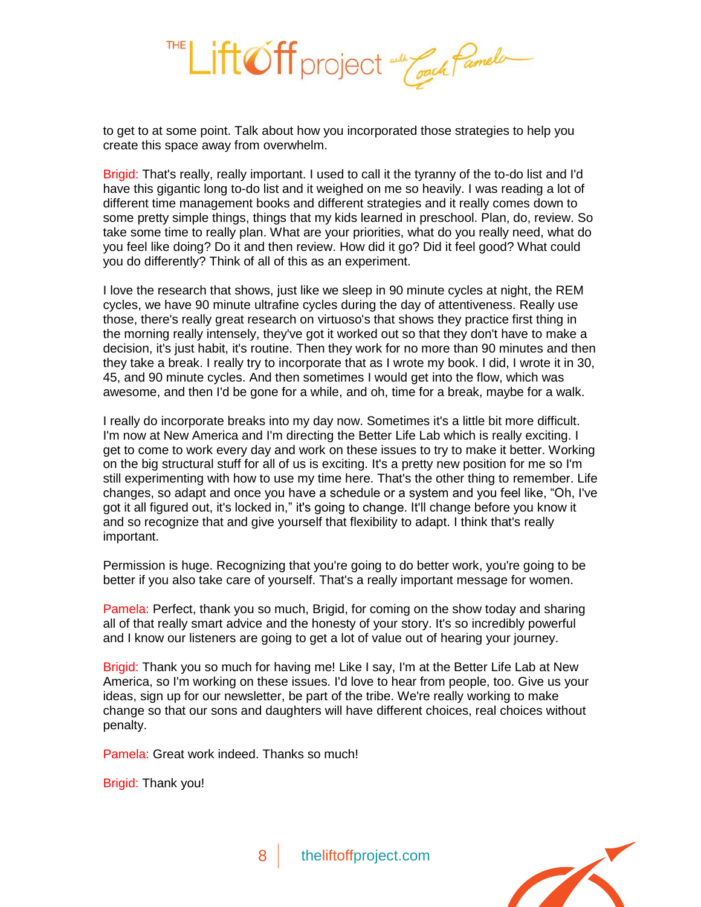

to get to at some point. Talk about how you incorporated those strategies to help you create this space away from overwhelm.

Brigid: That's really, really important. I used to call it the tyranny of the to-do list and I'd have this gigantic long to-do list and it weighed on me so heavily. I was reading a lot of different time management books and different strategies and it really comes down to some pretty simple things, things that my kids learned in preschool. Plan, do, review. So take some time to really plan. What are your priorities, what do you really need, what do you feel like doing? Do it and then review. How did it go? Did it feel good? What could you do differently? Think of all of this as an experiment.

I love the research that shows, just like we sleep in 90 minute cycles at night, the REM cycles, we have 90 minute ultrafine cycles during the day of attentiveness. Really use those, there's really great research on virtuoso's that shows they practice first thing in the morning really intensely, they've got it worked out so that they don't have to make a decision, it's just habit, it's routine. Then they work for no more than 90 minutes and then they take a break. I really try to incorporate that as I wrote my book. I did, I wrote it in 30, 45, and 90 minute cycles. And then sometimes I would get into the flow, which was awesome, and then I'd be gone for a while, and oh, time for a break, maybe for a walk.

I really do incorporate breaks into my day now. Sometimes it's a little bit more difficult. I'm now at New America and I'm directing the Better Life Lab which is really exciting. I get to come to work every day and work on these issues to try to make it better. Working on the big structural stuff for all of us is exciting. It's a pretty new position for me so I'm still experimenting with how to use my time here. That's the other thing to remember. Life changes, so adapt and once you have a schedule or a system and you feel like, "Oh, I've got it all figured out, it's locked in," it's going to change. It'll change before you know it and so recognize that and give yourself that flexibility to adapt. I think that's really important.

Permission is huge. Recognizing that you're going to do better work, you're going to be better if you also take care of yourself. That's a really important message for women.

Pamela: Perfect, thank you so much, Brigid, for coming on the show today and sharing all of that really smart advice and the honesty of your story. It's so incredibly powerful and I know our listeners are going to get a lot of value out of hearing your journey.

Brigid: Thank you so much for having me! Like I say, I'm at the Better Life Lab at New America, so I'm working on these issues. I'd love to hear from people, too. Give us your ideas, sign up for our newsletter, be part of the tribe. We're really working to make change so that our sons and daughters will have different choices, real choices without penalty.

Pamela: Great work indeed. Thanks so much!

Brigid: Thank you!